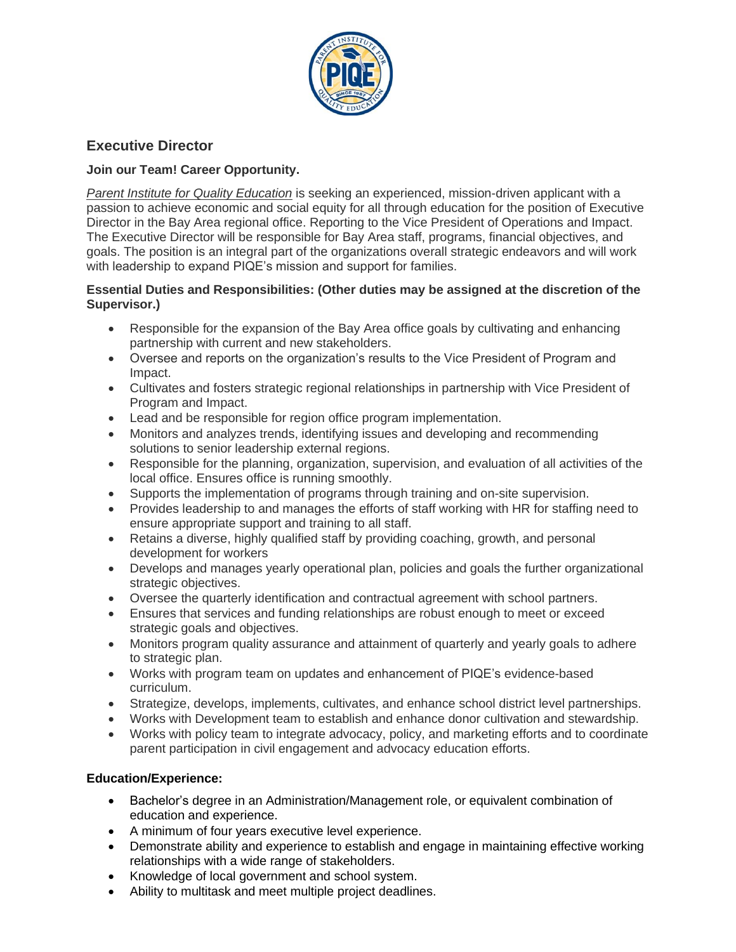

# **Executive Director**

## **Join our Team! Career Opportunity.**

*Parent Institute for Quality Education* is seeking an experienced, mission-driven applicant with a passion to achieve economic and social equity for all through education for the position of Executive Director in the Bay Area regional office. Reporting to the Vice President of Operations and Impact. The Executive Director will be responsible for Bay Area staff, programs, financial objectives, and goals. The position is an integral part of the organizations overall strategic endeavors and will work with leadership to expand PIQE's mission and support for families.

### **Essential Duties and Responsibilities: (Other duties may be assigned at the discretion of the Supervisor.)**

- Responsible for the expansion of the Bay Area office goals by cultivating and enhancing partnership with current and new stakeholders.
- Oversee and reports on the organization's results to the Vice President of Program and Impact.
- Cultivates and fosters strategic regional relationships in partnership with Vice President of Program and Impact.
- Lead and be responsible for region office program implementation.
- Monitors and analyzes trends, identifying issues and developing and recommending solutions to senior leadership external regions.
- Responsible for the planning, organization, supervision, and evaluation of all activities of the local office. Ensures office is running smoothly.
- Supports the implementation of programs through training and on-site supervision.
- Provides leadership to and manages the efforts of staff working with HR for staffing need to ensure appropriate support and training to all staff.
- Retains a diverse, highly qualified staff by providing coaching, growth, and personal development for workers
- Develops and manages yearly operational plan, policies and goals the further organizational strategic objectives.
- Oversee the quarterly identification and contractual agreement with school partners.
- Ensures that services and funding relationships are robust enough to meet or exceed strategic goals and objectives.
- Monitors program quality assurance and attainment of quarterly and yearly goals to adhere to strategic plan.
- Works with program team on updates and enhancement of PIQE's evidence-based curriculum.
- Strategize, develops, implements, cultivates, and enhance school district level partnerships.
- Works with Development team to establish and enhance donor cultivation and stewardship.
- Works with policy team to integrate advocacy, policy, and marketing efforts and to coordinate parent participation in civil engagement and advocacy education efforts.

### **Education/Experience:**

- Bachelor's degree in an Administration/Management role, or equivalent combination of education and experience.
- A minimum of four years executive level experience.
- Demonstrate ability and experience to establish and engage in maintaining effective working relationships with a wide range of stakeholders.
- Knowledge of local government and school system.
- Ability to multitask and meet multiple project deadlines.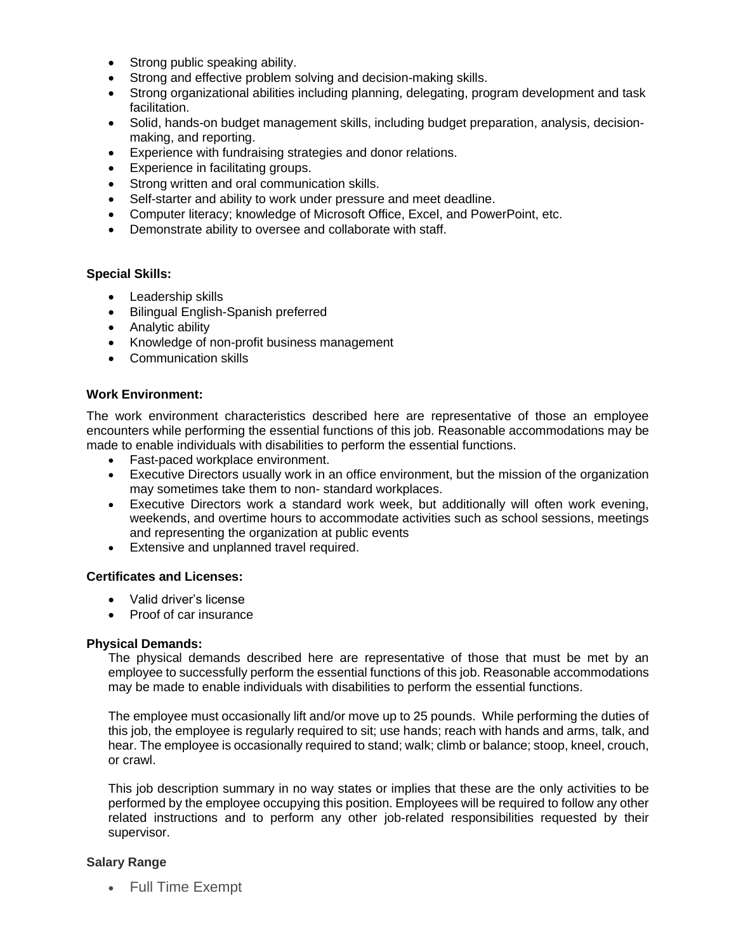- Strong public speaking ability.
- Strong and effective problem solving and decision-making skills.
- Strong organizational abilities including planning, delegating, program development and task facilitation.
- Solid, hands-on budget management skills, including budget preparation, analysis, decisionmaking, and reporting.
- Experience with fundraising strategies and donor relations.
- Experience in facilitating groups.
- Strong written and oral communication skills.
- Self-starter and ability to work under pressure and meet deadline.
- Computer literacy; knowledge of Microsoft Office, Excel, and PowerPoint, etc.
- Demonstrate ability to oversee and collaborate with staff.

#### **Special Skills:**

- Leadership skills
- Bilingual English-Spanish preferred
- Analytic ability
- Knowledge of non-profit business management
- Communication skills

#### **Work Environment:**

The work environment characteristics described here are representative of those an employee encounters while performing the essential functions of this job. Reasonable accommodations may be made to enable individuals with disabilities to perform the essential functions.

- Fast-paced workplace environment.
- Executive Directors usually work in an office environment, but the mission of the organization may sometimes take them to non- standard workplaces.
- Executive Directors work a standard work week, but additionally will often work evening, weekends, and overtime hours to accommodate activities such as school sessions, meetings and representing the organization at public events
- Extensive and unplanned travel required.

#### **Certificates and Licenses:**

- Valid driver's license
- Proof of car insurance

#### **Physical Demands:**

The physical demands described here are representative of those that must be met by an employee to successfully perform the essential functions of this job. Reasonable accommodations may be made to enable individuals with disabilities to perform the essential functions.

The employee must occasionally lift and/or move up to 25 pounds. While performing the duties of this job, the employee is regularly required to sit; use hands; reach with hands and arms, talk, and hear. The employee is occasionally required to stand; walk; climb or balance; stoop, kneel, crouch, or crawl.

This job description summary in no way states or implies that these are the only activities to be performed by the employee occupying this position. Employees will be required to follow any other related instructions and to perform any other job-related responsibilities requested by their supervisor.

#### **Salary Range**

• Full Time Exempt